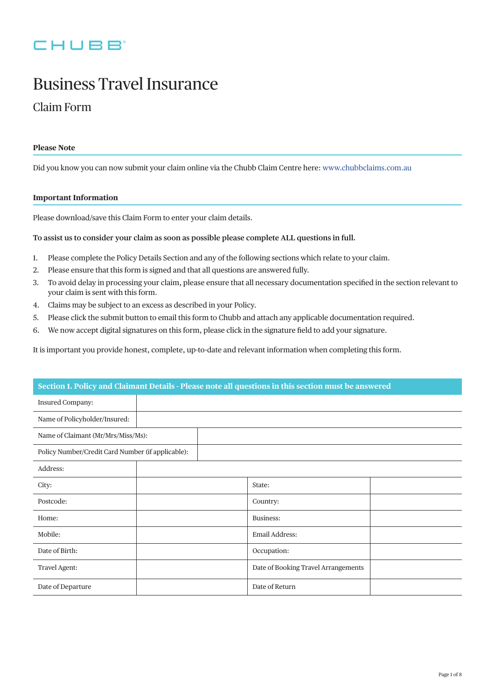# CHUBB

# Business Travel Insurance

# Claim Form

# **Please Note**

Did you know you can now submit your claim online via the Chubb Claim Centre here: [www.chubbclaims.com.au](http://www.chubbclaims.com.au)

### **Important Information**

Please download/save this Claim Form to enter your claim details.

# **To assist us to consider your claim as soon as possible please complete ALL questions in full.**

- 1. Please complete the Policy Details Section and any of the following sections which relate to your claim.
- 2. Please ensure that this form is signed and that all questions are answered fully.
- 3. To avoid delay in processing your claim, please ensure that all necessary documentation specified in the section relevant to your claim is sent with this form.
- 4. Claims may be subject to an excess as described in your Policy.
- 5. Please click the submit button to email this form to Chubb and attach any applicable documentation required.
- 6. We now accept digital signatures on this form, please click in the signature field to add your signature.

It is important you provide honest, complete, up-to-date and relevant information when completing this form.

| Section 1. Policy and Claimant Details - Please note all questions in this section must be answered |  |  |                                     |  |
|-----------------------------------------------------------------------------------------------------|--|--|-------------------------------------|--|
| Insured Company:                                                                                    |  |  |                                     |  |
| Name of Policyholder/Insured:                                                                       |  |  |                                     |  |
| Name of Claimant (Mr/Mrs/Miss/Ms):                                                                  |  |  |                                     |  |
| Policy Number/Credit Card Number (if applicable):                                                   |  |  |                                     |  |
| Address:                                                                                            |  |  |                                     |  |
| City:                                                                                               |  |  | State:                              |  |
| Postcode:                                                                                           |  |  | Country:                            |  |
| Home:                                                                                               |  |  | Business:                           |  |
| Mobile:                                                                                             |  |  | Email Address:                      |  |
| Date of Birth:                                                                                      |  |  | Occupation:                         |  |
| Travel Agent:                                                                                       |  |  | Date of Booking Travel Arrangements |  |
| Date of Departure                                                                                   |  |  | Date of Return                      |  |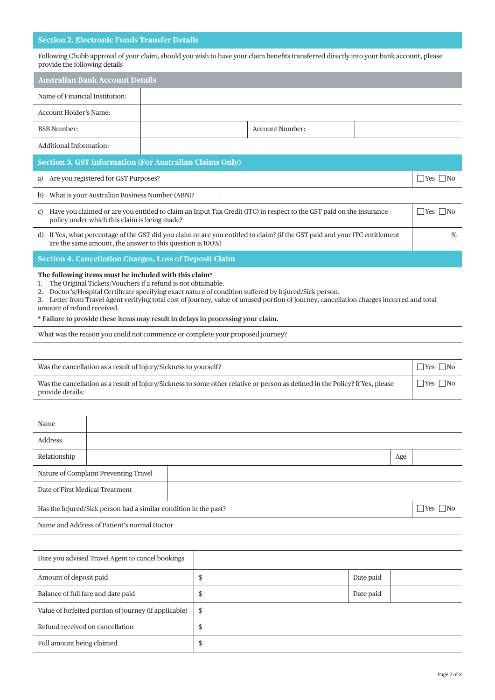# **Section 2. Electronic Funds Transfer Details**

Value of forfeited portion of journey (if applicable)  $\parallel$  \$ Refund received on cancellation  $\parallel$  \$ Full amount being claimed \$

Following Chubb approval of your claim, should you wish to have your claim benefits transferred directly into your bank account, please provide the following details

|                                                                                                                                                                                                                                                                                                                                                                                                                                                                                                       | <b>Australian Bank Account Details</b>                                                   |  |    |                                                                                                                               |  |           |     |                      |
|-------------------------------------------------------------------------------------------------------------------------------------------------------------------------------------------------------------------------------------------------------------------------------------------------------------------------------------------------------------------------------------------------------------------------------------------------------------------------------------------------------|------------------------------------------------------------------------------------------|--|----|-------------------------------------------------------------------------------------------------------------------------------|--|-----------|-----|----------------------|
| Name of Financial Institution:                                                                                                                                                                                                                                                                                                                                                                                                                                                                        |                                                                                          |  |    |                                                                                                                               |  |           |     |                      |
| Account Holder's Name:                                                                                                                                                                                                                                                                                                                                                                                                                                                                                |                                                                                          |  |    |                                                                                                                               |  |           |     |                      |
| <b>BSB</b> Number:                                                                                                                                                                                                                                                                                                                                                                                                                                                                                    |                                                                                          |  |    | <b>Account Number:</b>                                                                                                        |  |           |     |                      |
| Additional Information:                                                                                                                                                                                                                                                                                                                                                                                                                                                                               |                                                                                          |  |    |                                                                                                                               |  |           |     |                      |
|                                                                                                                                                                                                                                                                                                                                                                                                                                                                                                       | <b>Section 3. GST Information (For Australian Claims Only)</b>                           |  |    |                                                                                                                               |  |           |     |                      |
|                                                                                                                                                                                                                                                                                                                                                                                                                                                                                                       | a) Are you registered for GST Purposes?                                                  |  |    |                                                                                                                               |  |           |     | Yes   No             |
|                                                                                                                                                                                                                                                                                                                                                                                                                                                                                                       | b) What is your Australian Business Number (ABN)?                                        |  |    |                                                                                                                               |  |           |     |                      |
| $\Box$ Yes $\Box$ No<br>c) Have you claimed or are you entitled to claim an Input Tax Credit (ITC) in respect to the GST paid on the insurance<br>policy under which this claim is being made?                                                                                                                                                                                                                                                                                                        |                                                                                          |  |    |                                                                                                                               |  |           |     |                      |
| d) If Yes, what percentage of the GST did you claim or are you entitled to claim? (if the GST paid and your ITC entitlement<br>%<br>are the same amount, the answer to this question is 100%)                                                                                                                                                                                                                                                                                                         |                                                                                          |  |    |                                                                                                                               |  |           |     |                      |
|                                                                                                                                                                                                                                                                                                                                                                                                                                                                                                       | <b>Section 4. Cancellation Charges, Loss of Deposit Claim</b>                            |  |    |                                                                                                                               |  |           |     |                      |
| The following items must be included with this claim*<br>The Original Tickets/Vouchers if a refund is not obtainable.<br>1.<br>Doctor's/Hospital Certificate specifying exact nature of condition suffered by Injured/Sick person.<br>2.<br>3. Letter from Travel Agent verifying total cost of journey, value of unused portion of journey, cancellation charges incurred and total<br>amount of refund received.<br>* Failure to provide these items may result in delays in processing your claim. |                                                                                          |  |    |                                                                                                                               |  |           |     |                      |
|                                                                                                                                                                                                                                                                                                                                                                                                                                                                                                       | What was the reason you could not commence or complete your proposed journey?            |  |    |                                                                                                                               |  |           |     |                      |
|                                                                                                                                                                                                                                                                                                                                                                                                                                                                                                       |                                                                                          |  |    |                                                                                                                               |  |           |     |                      |
|                                                                                                                                                                                                                                                                                                                                                                                                                                                                                                       | Was the cancellation as a result of Injury/Sickness to yourself?                         |  |    |                                                                                                                               |  |           |     | $\Box$ Yes $\Box$ No |
| provide details:                                                                                                                                                                                                                                                                                                                                                                                                                                                                                      |                                                                                          |  |    | Was the cancellation as a result of Injury/Sickness to some other relative or person as defined in the Policy? If Yes, please |  |           |     | $\Box$ Yes $\Box$ No |
|                                                                                                                                                                                                                                                                                                                                                                                                                                                                                                       |                                                                                          |  |    |                                                                                                                               |  |           |     |                      |
| Name                                                                                                                                                                                                                                                                                                                                                                                                                                                                                                  |                                                                                          |  |    |                                                                                                                               |  |           |     |                      |
| Address                                                                                                                                                                                                                                                                                                                                                                                                                                                                                               |                                                                                          |  |    |                                                                                                                               |  |           |     |                      |
| Relationship                                                                                                                                                                                                                                                                                                                                                                                                                                                                                          |                                                                                          |  |    |                                                                                                                               |  |           | Age |                      |
|                                                                                                                                                                                                                                                                                                                                                                                                                                                                                                       | Nature of Complaint Preventing Travel                                                    |  |    |                                                                                                                               |  |           |     |                      |
| Date of First Medical Treatment                                                                                                                                                                                                                                                                                                                                                                                                                                                                       |                                                                                          |  |    |                                                                                                                               |  |           |     |                      |
|                                                                                                                                                                                                                                                                                                                                                                                                                                                                                                       | $\Box$ Yes $\Box$ No<br>Has the Injured/Sick person had a similar condition in the past? |  |    |                                                                                                                               |  |           |     |                      |
|                                                                                                                                                                                                                                                                                                                                                                                                                                                                                                       | Name and Address of Patient's normal Doctor                                              |  |    |                                                                                                                               |  |           |     |                      |
|                                                                                                                                                                                                                                                                                                                                                                                                                                                                                                       |                                                                                          |  |    |                                                                                                                               |  |           |     |                      |
|                                                                                                                                                                                                                                                                                                                                                                                                                                                                                                       | Date you advised Travel Agent to cancel bookings                                         |  |    |                                                                                                                               |  |           |     |                      |
| Amount of deposit paid                                                                                                                                                                                                                                                                                                                                                                                                                                                                                |                                                                                          |  | \$ |                                                                                                                               |  | Date paid |     |                      |
|                                                                                                                                                                                                                                                                                                                                                                                                                                                                                                       | Balance of full fare and date paid                                                       |  | \$ |                                                                                                                               |  | Date paid |     |                      |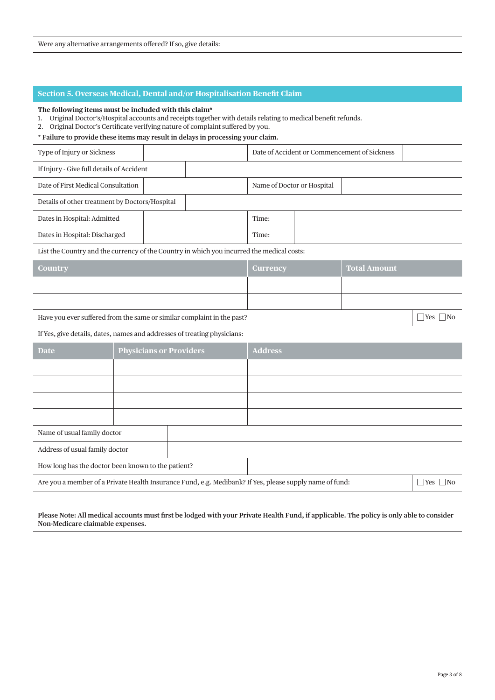# **Section 5. Overseas Medical, Dental and/or Hospitalisation Benefit Claim**

#### **The following items must be included with this claim\***

1. Original Doctor's/Hospital accounts and receipts together with details relating to medical benefit refunds.

2. Original Doctor's Certificate verifying nature of complaint suffered by you.

**\* Failure to provide these items may result in delays in processing your claim.**

| Type of Injury or Sickness                                                                              |                                | Date of Accident or Commencement of Sickness |                            |                      |                     |                      |  |
|---------------------------------------------------------------------------------------------------------|--------------------------------|----------------------------------------------|----------------------------|----------------------|---------------------|----------------------|--|
| If Injury - Give full details of Accident                                                               |                                |                                              |                            |                      |                     |                      |  |
| Date of First Medical Consultation                                                                      |                                |                                              | Name of Doctor or Hospital |                      |                     |                      |  |
| Details of other treatment by Doctors/Hospital                                                          |                                |                                              |                            |                      |                     |                      |  |
| Dates in Hospital: Admitted                                                                             |                                |                                              | Time:                      |                      |                     |                      |  |
| Dates in Hospital: Discharged                                                                           |                                |                                              | Time:                      |                      |                     |                      |  |
| List the Country and the currency of the Country in which you incurred the medical costs:               |                                |                                              |                            |                      |                     |                      |  |
| <b>Country</b>                                                                                          |                                |                                              | <b>Currency</b>            |                      | <b>Total Amount</b> |                      |  |
|                                                                                                         |                                |                                              |                            |                      |                     |                      |  |
|                                                                                                         |                                |                                              |                            |                      |                     |                      |  |
| Have you ever suffered from the same or similar complaint in the past?                                  |                                |                                              |                            |                      |                     | $\Box$ Yes $\Box$ No |  |
| If Yes, give details, dates, names and addresses of treating physicians:                                |                                |                                              |                            |                      |                     |                      |  |
| <b>Date</b>                                                                                             | <b>Physicians or Providers</b> |                                              | <b>Address</b>             |                      |                     |                      |  |
|                                                                                                         |                                |                                              |                            |                      |                     |                      |  |
|                                                                                                         |                                |                                              |                            |                      |                     |                      |  |
|                                                                                                         |                                |                                              |                            |                      |                     |                      |  |
|                                                                                                         |                                |                                              |                            |                      |                     |                      |  |
| Name of usual family doctor                                                                             |                                |                                              |                            |                      |                     |                      |  |
| Address of usual family doctor                                                                          |                                |                                              |                            |                      |                     |                      |  |
| How long has the doctor been known to the patient?                                                      |                                |                                              |                            |                      |                     |                      |  |
| Are you a member of a Private Health Insurance Fund, e.g. Medibank? If Yes, please supply name of fund: |                                |                                              |                            | $\Box$ Yes $\Box$ No |                     |                      |  |

**Please Note: All medical accounts must first be lodged with your Private Health Fund, if applicable. The policy is only able to consider Non-Medicare claimable expenses.**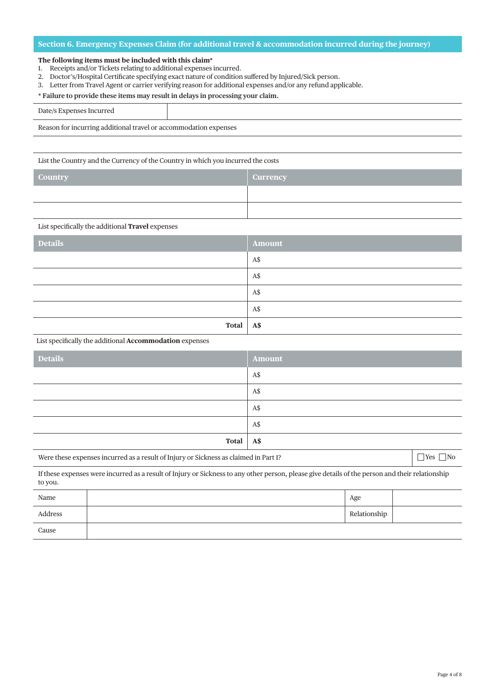# **Section 6. Emergency Expenses Claim (for additional travel & accommodation incurred during the journey)**

#### **The following items must be included with this claim\***

- 1. Receipts and/or Tickets relating to additional expenses incurred.
- 2. Doctor's/Hospital Certificate specifying exact nature of condition suffered by Injured/Sick person.
- 3. Letter from Travel Agent or carrier verifying reason for additional expenses and/or any refund applicable.

#### **\* Failure to provide these items may result in delays in processing your claim.**

| $Date/s$ ,               |  |
|--------------------------|--|
| the property of the con- |  |

Reason for incurring additional travel or accommodation expenses

List the Country and the Currency of the Country in which you incurred the costs

| <b>Country</b> | <b>Currency</b> |
|----------------|-----------------|
|                |                 |
|                |                 |

#### List specifically the additional **Travel** expenses

| <b>Details</b> | Amount     |
|----------------|------------|
|                | A\$        |
|                | A\$        |
|                | A\$        |
|                | A\$        |
| Total          | <b>A\$</b> |

List specifically the additional **Accommodation** expenses

| <b>Details</b> | Amount |
|----------------|--------|
|                | A\$    |
|                | A\$    |
|                | A\$    |
|                | A\$    |
| Total          | A\$    |

| Were these expenses incurred as a result of Injury or Sickness as claimed in Part 1? |  | $\Box$ Yes $\Box$ No |  |  |  |
|--------------------------------------------------------------------------------------|--|----------------------|--|--|--|
|--------------------------------------------------------------------------------------|--|----------------------|--|--|--|

If these expenses were incurred as a result of Injury or Sickness to any other person, please give details of the person and their relationship to you.

| Name    | Age          |  |
|---------|--------------|--|
| Address | Relationship |  |
| Cause   |              |  |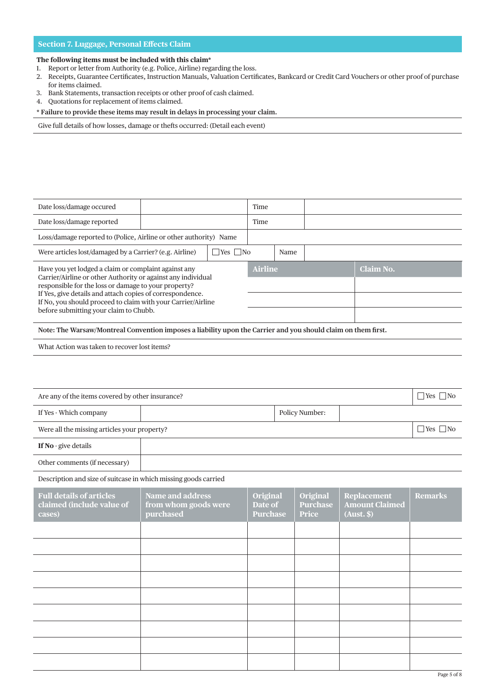# **Section 7. Luggage, Personal Effects Claim**

#### **The following items must be included with this claim\***

- 1. Report or letter from Authority (e.g. Police, Airline) regarding the loss.
- 2. Receipts, Guarantee Certificates, Instruction Manuals, Valuation Certificates, Bankcard or Credit Card Vouchers or other proof of purchase for items claimed.
- 3. Bank Statements, transaction receipts or other proof of cash claimed.
- 4. Quotations for replacement of items claimed.

#### **\* Failure to provide these items may result in delays in processing your claim.**

Give full details of how losses, damage or thefts occurred: (Detail each event)

| Date loss/damage occured                                                                                                                                                                                                                                                                                                                            |  |                         | Time |      |           |  |  |
|-----------------------------------------------------------------------------------------------------------------------------------------------------------------------------------------------------------------------------------------------------------------------------------------------------------------------------------------------------|--|-------------------------|------|------|-----------|--|--|
| Date loss/damage reported                                                                                                                                                                                                                                                                                                                           |  |                         | Time |      |           |  |  |
| Loss/damage reported to (Police, Airline or other authority) Name                                                                                                                                                                                                                                                                                   |  |                         |      |      |           |  |  |
| Were articles lost/damaged by a Carrier? (e.g. Airline)                                                                                                                                                                                                                                                                                             |  | $\exists$ Yes $\Box$ No |      | Name |           |  |  |
| Have you yet lodged a claim or complaint against any<br>Carrier/Airline or other Authority or against any individual<br>responsible for the loss or damage to your property?<br>If Yes, give details and attach copies of correspondence.<br>If No, you should proceed to claim with your Carrier/Airline<br>before submitting your claim to Chubb. |  | <b>Airline</b>          |      |      | Claim No. |  |  |
| Note: The Warsaw/Montreal Convention imposes a liability upon the Carrier and you should claim on them first.                                                                                                                                                                                                                                       |  |                         |      |      |           |  |  |
| What Action was taken to recover lost items?                                                                                                                                                                                                                                                                                                        |  |                         |      |      |           |  |  |

| Are any of the items covered by other insurance? |  |                |  |  |
|--------------------------------------------------|--|----------------|--|--|
| If Yes - Which company                           |  | Policy Number: |  |  |
| Were all the missing articles your property?     |  |                |  |  |
| <b>If No</b> - give details                      |  |                |  |  |
| Other comments (if necessary)                    |  |                |  |  |

Description and size of suitcase in which missing goods carried

| <b>Full details of articles</b><br>claimed (include value of<br>cases) | <b>Name and address</b><br>from whom goods were<br>purchased | <b>Original</b><br>Date of<br><b>Purchase</b> | Original<br><b>Purchase</b><br><b>Price</b> | <b>Replacement</b><br><b>Amount Claimed</b><br>(Aust. \$) | <b>Remarks</b> |
|------------------------------------------------------------------------|--------------------------------------------------------------|-----------------------------------------------|---------------------------------------------|-----------------------------------------------------------|----------------|
|                                                                        |                                                              |                                               |                                             |                                                           |                |
|                                                                        |                                                              |                                               |                                             |                                                           |                |
|                                                                        |                                                              |                                               |                                             |                                                           |                |
|                                                                        |                                                              |                                               |                                             |                                                           |                |
|                                                                        |                                                              |                                               |                                             |                                                           |                |
|                                                                        |                                                              |                                               |                                             |                                                           |                |
|                                                                        |                                                              |                                               |                                             |                                                           |                |
|                                                                        |                                                              |                                               |                                             |                                                           |                |
|                                                                        |                                                              |                                               |                                             |                                                           |                |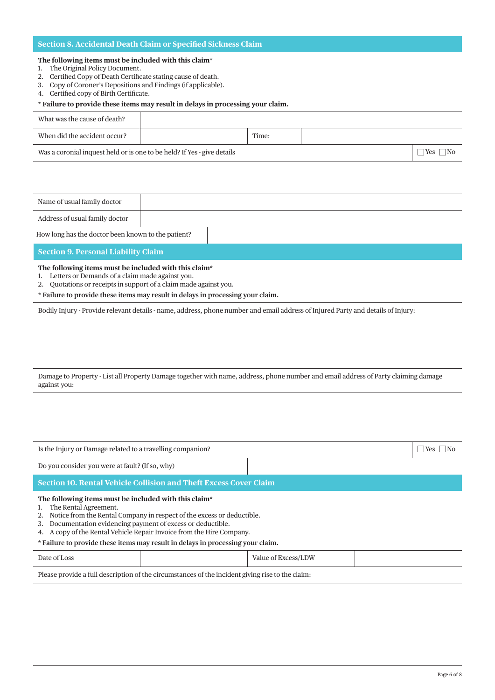# **Section 8. Accidental Death Claim or Specified Sickness Claim**

#### **The following items must be included with this claim\***

- 1. The Original Policy Document.
- 2. Certified Copy of Death Certificate stating cause of death.
- 3. Copy of Coroner's Depositions and Findings (if applicable).
- 4. Certified copy of Birth Certificate.

# **\* Failure to provide these items may result in delays in processing your claim.**

| What was the cause of death?                                            |       |  |  |
|-------------------------------------------------------------------------|-------|--|--|
| When did the accident occur?                                            | Time: |  |  |
| Was a coronial inquest held or is one to be held? If Yes - give details |       |  |  |

| Name of usual family doctor                        |  |
|----------------------------------------------------|--|
| Address of usual family doctor                     |  |
| How long has the doctor been known to the patient? |  |

#### **Section 9. Personal Liability Claim**

#### **The following items must be included with this claim\***

- 1. Letters or Demands of a claim made against you.
- 2. Quotations or receipts in support of a claim made against you.
- **\* Failure to provide these items may result in delays in processing your claim.**

Bodily Injury - Provide relevant details - name, address, phone number and email address of Injured Party and details of Injury:

Damage to Property - List all Property Damage together with name, address, phone number and email address of Party claiming damage against you:

| Is the Injury or Damage related to a travelling companion?                                                                                                                                                                                                                                                                                                                           |  |                     |  | $\exists$ Yes |
|--------------------------------------------------------------------------------------------------------------------------------------------------------------------------------------------------------------------------------------------------------------------------------------------------------------------------------------------------------------------------------------|--|---------------------|--|---------------|
| Do you consider you were at fault? (If so, why)                                                                                                                                                                                                                                                                                                                                      |  |                     |  |               |
| Section 10. Rental Vehicle Collision and Theft Excess Cover Claim                                                                                                                                                                                                                                                                                                                    |  |                     |  |               |
| The following items must be included with this claim*<br>The Rental Agreement.<br>Notice from the Rental Company in respect of the excess or deductible.<br>Documentation evidencing payment of excess or deductible.<br>3.<br>A copy of the Rental Vehicle Repair Invoice from the Hire Company.<br>* Failure to provide these items may result in delays in processing your claim. |  |                     |  |               |
| Date of Loss                                                                                                                                                                                                                                                                                                                                                                         |  | Value of Excess/LDW |  |               |
| Please provide a full description of the circumstances of the incident giving rise to the claim:                                                                                                                                                                                                                                                                                     |  |                     |  |               |
|                                                                                                                                                                                                                                                                                                                                                                                      |  |                     |  |               |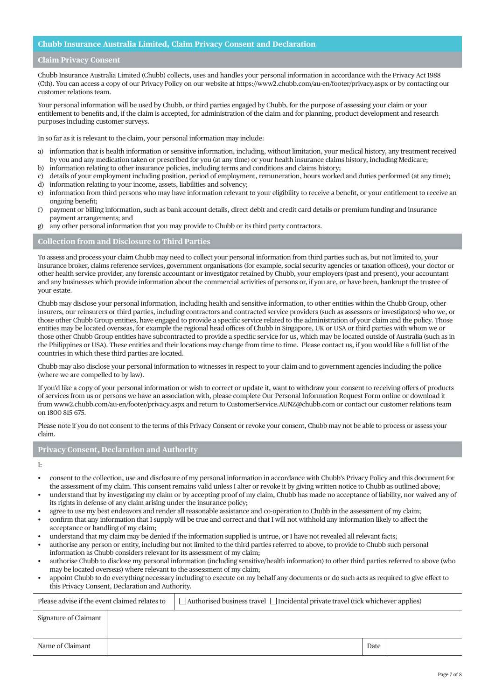### **Chubb Insurance Australia Limited, Claim Privacy Consent and Declaration**

#### **Claim Privacy Consent**

Chubb Insurance Australia Limited (Chubb) collects, uses and handles your personal information in accordance with the Privacy Act 1988 (Cth). You can access a copy of our Privacy Policy on our website at https://www2.chubb.com/au-en/footer/privacy.aspx or by contacting our customer relations team.

Your personal information will be used by Chubb, or third parties engaged by Chubb, for the purpose of assessing your claim or your entitlement to benefits and, if the claim is accepted, for administration of the claim and for planning, product development and research purposes including customer surveys.

In so far as it is relevant to the claim, your personal information may include:

- a) information that is health information or sensitive information, including, without limitation, your medical history, any treatment received by you and any medication taken or prescribed for you (at any time) or your health insurance claims history, including Medicare;
- b) information relating to other insurance policies, including terms and conditions and claims history;
- c) details of your employment including position, period of employment, remuneration, hours worked and duties performed (at any time);
- d) information relating to your income, assets, liabilities and solvency;
- e) information from third persons who may have information relevant to your eligibility to receive a benefit, or your entitlement to receive an ongoing benefit;
- f) payment or billing information, such as bank account details, direct debit and credit card details or premium funding and insurance payment arrangements; and
- g) any other personal information that you may provide to Chubb or its third party contractors.

#### **Collection from and Disclosure to Third Parties**

To assess and process your claim Chubb may need to collect your personal information from third parties such as, but not limited to, your insurance broker, claims reference services, government organisations (for example, social security agencies or taxation offices), your doctor or other health service provider, any forensic accountant or investigator retained by Chubb, your employers (past and present), your accountant and any businesses which provide information about the commercial activities of persons or, if you are, or have been, bankrupt the trustee of your estate.

Chubb may disclose your personal information, including health and sensitive information, to other entities within the Chubb Group, other insurers, our reinsurers or third parties, including contractors and contracted service providers (such as assessors or investigators) who we, or those other Chubb Group entities, have engaged to provide a specific service related to the administration of your claim and the policy. Those entities may be located overseas, for example the regional head offices of Chubb in Singapore, UK or USA or third parties with whom we or those other Chubb Group entities have subcontracted to provide a specific service for us, which may be located outside of Australia (such as in the Philippines or USA). These entities and their locations may change from time to time. Please contact us, if you would like a full list of the countries in which these third parties are located.

Chubb may also disclose your personal information to witnesses in respect to your claim and to government agencies including the police (where we are compelled to by law).

If you'd like a copy of your personal information or wish to correct or update it, want to withdraw your consent to receiving offers of products of services from us or persons we have an association with, please complete Our Personal Information Request Form online or download it from www2.chubb.com/au-en/footer/privacy.aspx and return to CustomerService.AUNZ@chubb.com or contact our customer relations team on 1800 815 675.

Please note if you do not consent to the terms of this Privacy Consent or revoke your consent, Chubb may not be able to process or assess your claim.

#### **Privacy Consent, Declaration and Authority**

I:

- consent to the collection, use and disclosure of my personal information in accordance with Chubb's Privacy Policy and this document for the assessment of my claim. This consent remains valid unless I alter or revoke it by giving written notice to Chubb as outlined above;
- understand that by investigating my claim or by accepting proof of my claim, Chubb has made no acceptance of liability, nor waived any of its rights in defense of any claim arising under the insurance policy;
- agree to use my best endeavors and render all reasonable assistance and co-operation to Chubb in the assessment of my claim;
- confirm that any information that I supply will be true and correct and that I will not withhold any information likely to affect the acceptance or handling of my claim;
- understand that my claim may be denied if the information supplied is untrue, or I have not revealed all relevant facts;
- authorise any person or entity, including but not limited to the third parties referred to above, to provide to Chubb such personal information as Chubb considers relevant for its assessment of my claim;
- authorise Chubb to disclose my personal information (including sensitive/health information) to other third parties referred to above (who may be located overseas) where relevant to the assessment of my claim;
- appoint Chubb to do everything necessary including to execute on my behalf any documents or do such acts as required to give effect to this Privacy Consent, Declaration and Authority.

| Please advise if the event claimed relates to |  | □ Authorised business travel □ Incidental private travel (tick whichever applies) |      |  |
|-----------------------------------------------|--|-----------------------------------------------------------------------------------|------|--|
| Signature of Claimant                         |  |                                                                                   |      |  |
| Name of Claimant                              |  |                                                                                   | Date |  |